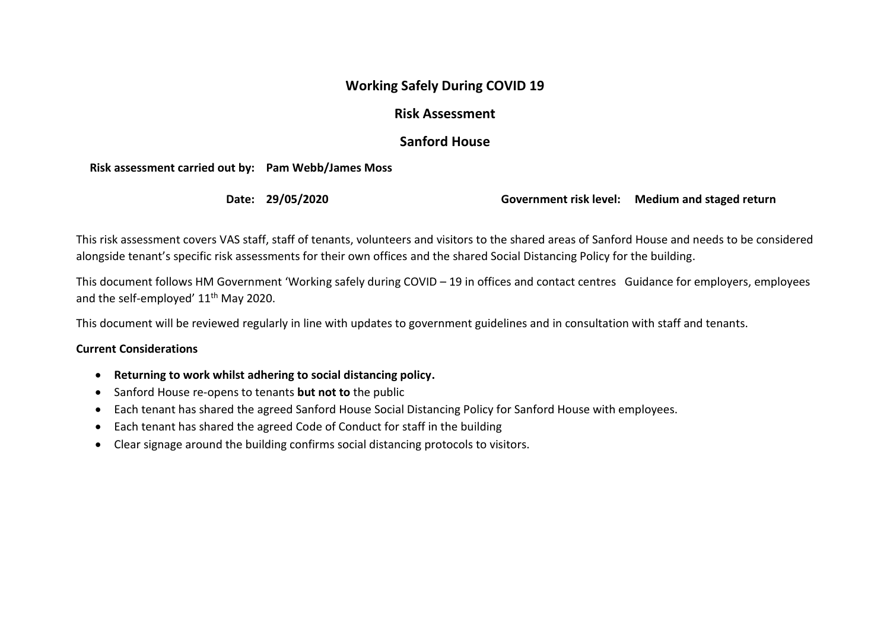## **Working Safely During COVID 19**

## **Risk Assessment**

## **Sanford House**

**Risk assessment carried out by: Pam Webb/James Moss**

**Date: 29/05/2020 Government risk level: Medium and staged return**

This risk assessment covers VAS staff, staff of tenants, volunteers and visitors to the shared areas of Sanford House and needs to be considered alongside tenant's specific risk assessments for their own offices and the shared Social Distancing Policy for the building.

This document follows HM Government 'Working safely during COVID – 19 in offices and contact centres Guidance for employers, employees and the self-employed' 11<sup>th</sup> May 2020.

This document will be reviewed regularly in line with updates to government guidelines and in consultation with staff and tenants.

## **Current Considerations**

- **Returning to work whilst adhering to social distancing policy.**
- Sanford House re-opens to tenants **but not to** the public
- Each tenant has shared the agreed Sanford House Social Distancing Policy for Sanford House with employees.
- Each tenant has shared the agreed Code of Conduct for staff in the building
- Clear signage around the building confirms social distancing protocols to visitors.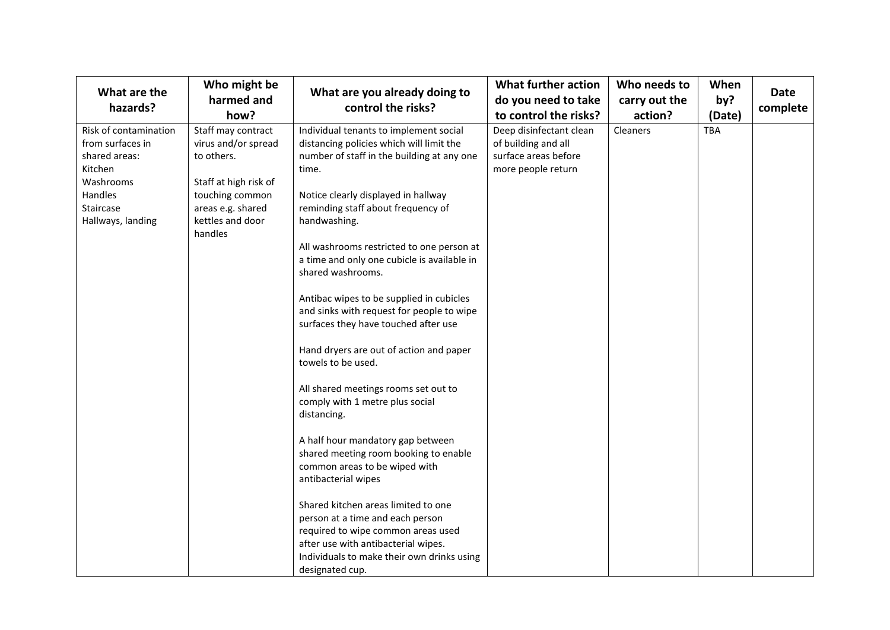| What are the<br>hazards?                                                                                                        | Who might be<br>harmed and<br>how?                                                                                                                      | What are you already doing to<br>control the risks?                                                                                                                                                                                                                                                                                                                                                                                                                                                                                                                                                                                                                                                                                                                                                                                                                                                                                                                                             | <b>What further action</b><br>do you need to take<br>to control the risks?                   | Who needs to<br>carry out the<br>action? | When<br>by?<br>(Date) | <b>Date</b><br>complete |
|---------------------------------------------------------------------------------------------------------------------------------|---------------------------------------------------------------------------------------------------------------------------------------------------------|-------------------------------------------------------------------------------------------------------------------------------------------------------------------------------------------------------------------------------------------------------------------------------------------------------------------------------------------------------------------------------------------------------------------------------------------------------------------------------------------------------------------------------------------------------------------------------------------------------------------------------------------------------------------------------------------------------------------------------------------------------------------------------------------------------------------------------------------------------------------------------------------------------------------------------------------------------------------------------------------------|----------------------------------------------------------------------------------------------|------------------------------------------|-----------------------|-------------------------|
| Risk of contamination<br>from surfaces in<br>shared areas:<br>Kitchen<br>Washrooms<br>Handles<br>Staircase<br>Hallways, landing | Staff may contract<br>virus and/or spread<br>to others.<br>Staff at high risk of<br>touching common<br>areas e.g. shared<br>kettles and door<br>handles | Individual tenants to implement social<br>distancing policies which will limit the<br>number of staff in the building at any one<br>time.<br>Notice clearly displayed in hallway<br>reminding staff about frequency of<br>handwashing.<br>All washrooms restricted to one person at<br>a time and only one cubicle is available in<br>shared washrooms.<br>Antibac wipes to be supplied in cubicles<br>and sinks with request for people to wipe<br>surfaces they have touched after use<br>Hand dryers are out of action and paper<br>towels to be used.<br>All shared meetings rooms set out to<br>comply with 1 metre plus social<br>distancing.<br>A half hour mandatory gap between<br>shared meeting room booking to enable<br>common areas to be wiped with<br>antibacterial wipes<br>Shared kitchen areas limited to one<br>person at a time and each person<br>required to wipe common areas used<br>after use with antibacterial wipes.<br>Individuals to make their own drinks using | Deep disinfectant clean<br>of building and all<br>surface areas before<br>more people return | Cleaners                                 | <b>TBA</b>            |                         |